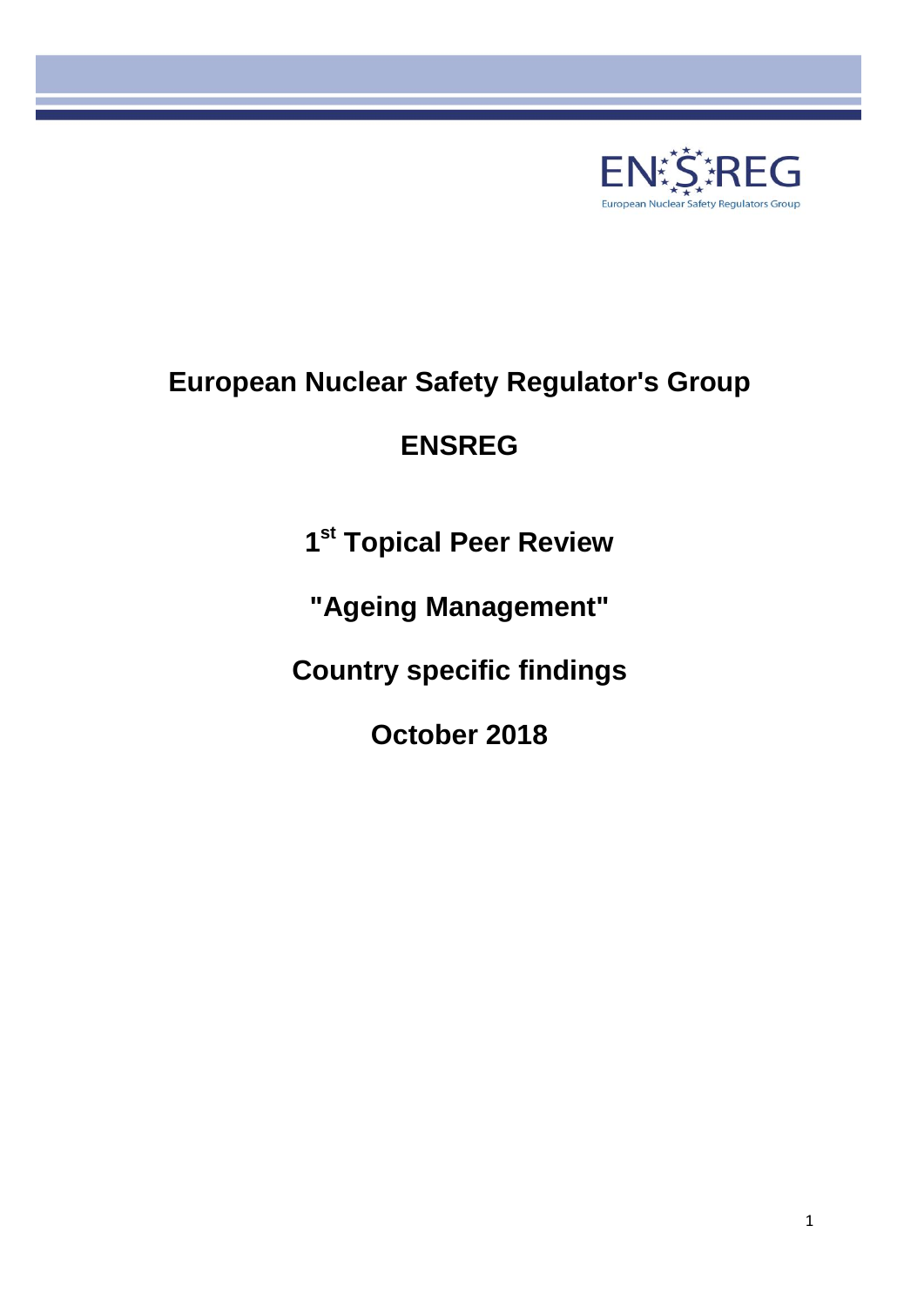

# **European Nuclear Safety Regulator's Group**

# **ENSREG**

**1 st Topical Peer Review** 

**"Ageing Management"**

**Country specific findings**

**October 2018**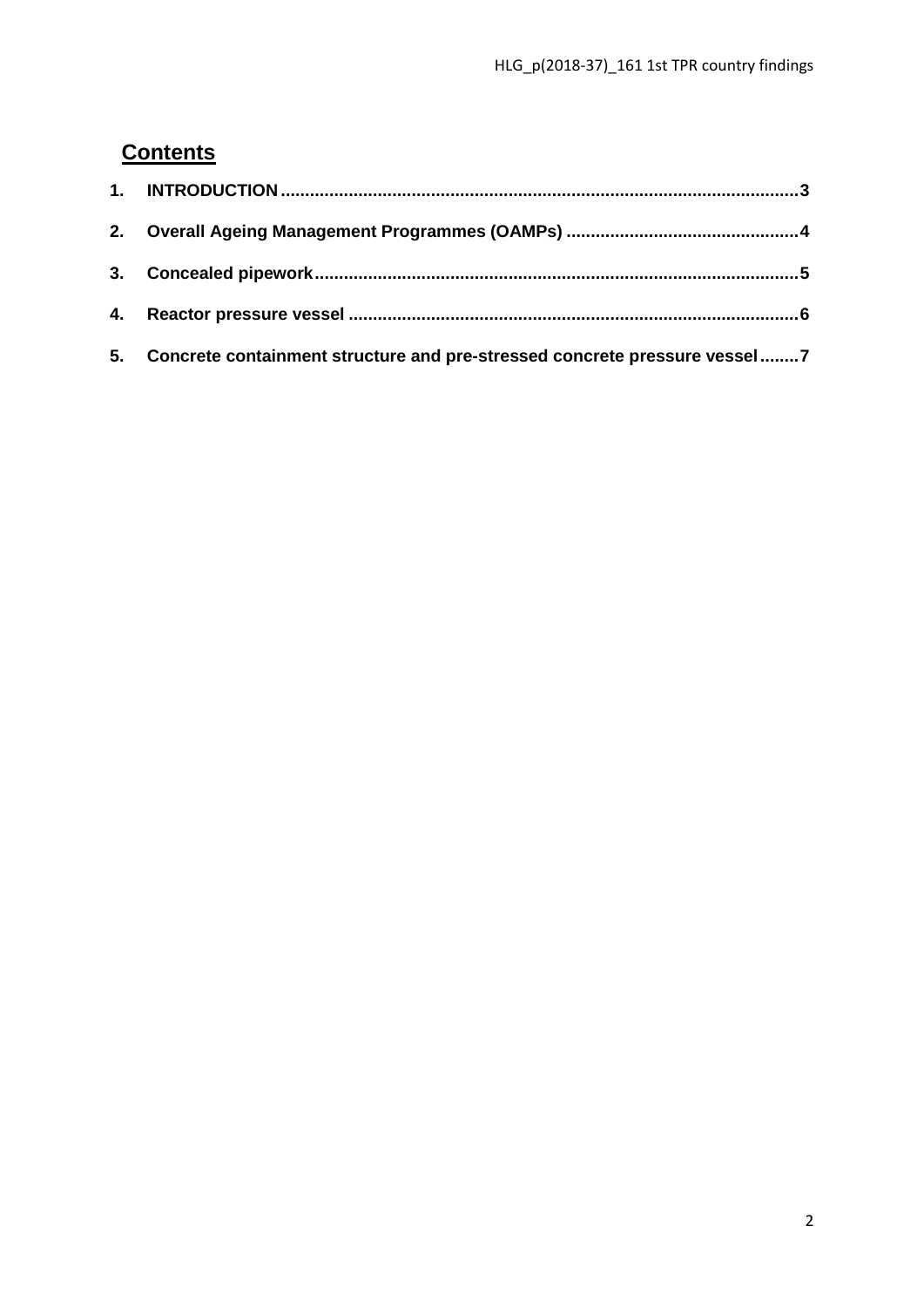# **Contents**

| 5. Concrete containment structure and pre-stressed concrete pressure vessel7 |  |
|------------------------------------------------------------------------------|--|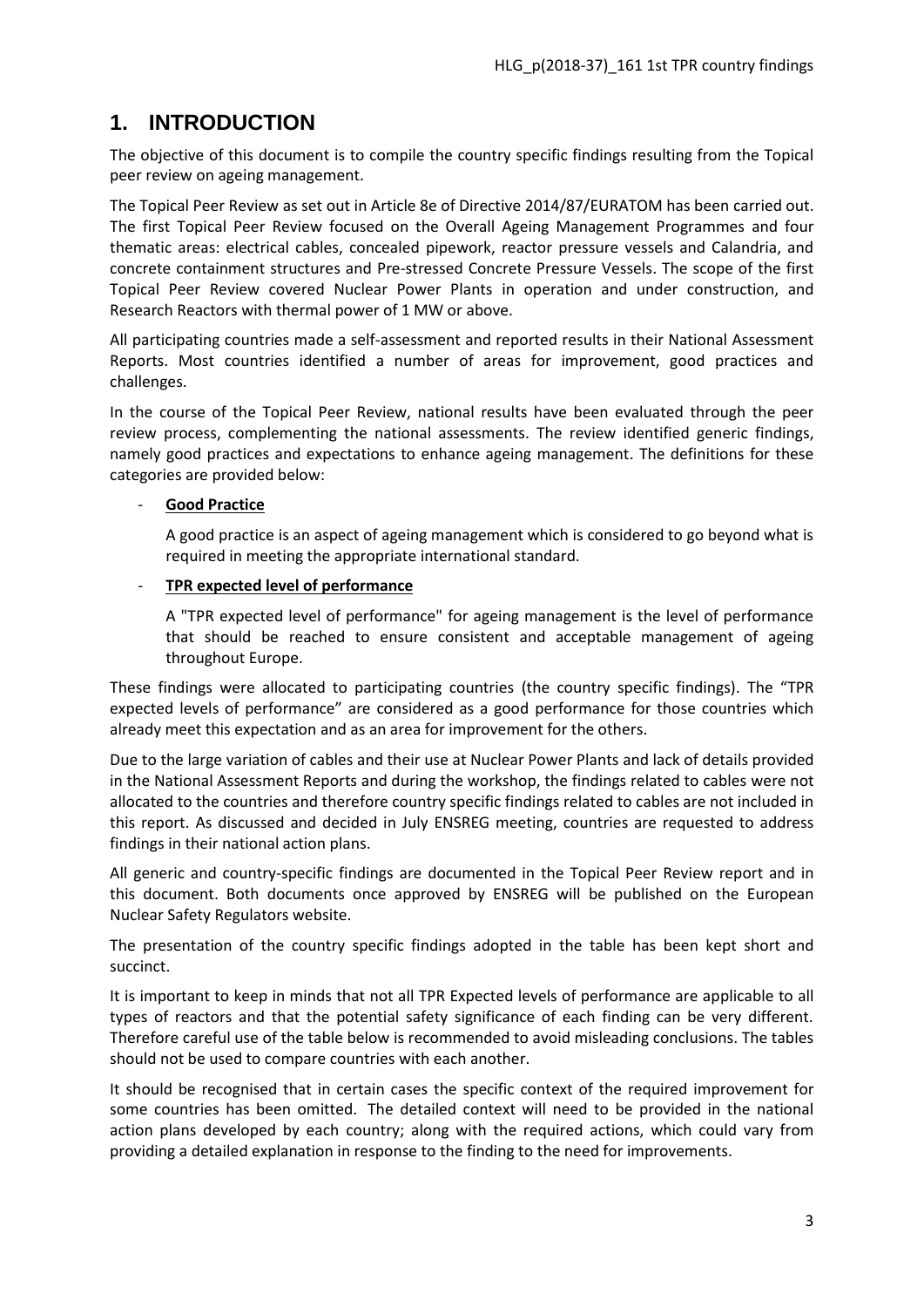## <span id="page-2-0"></span>**1. INTRODUCTION**

The objective of this document is to compile the country specific findings resulting from the Topical peer review on ageing management.

The Topical Peer Review as set out in Article 8e of Directive 2014/87/EURATOM has been carried out. The first Topical Peer Review focused on the Overall Ageing Management Programmes and four thematic areas: electrical cables, concealed pipework, reactor pressure vessels and Calandria, and concrete containment structures and Pre-stressed Concrete Pressure Vessels. The scope of the first Topical Peer Review covered Nuclear Power Plants in operation and under construction, and Research Reactors with thermal power of 1 MW or above.

All participating countries made a self-assessment and reported results in their National Assessment Reports. Most countries identified a number of areas for improvement, good practices and challenges.

In the course of the Topical Peer Review, national results have been evaluated through the peer review process, complementing the national assessments. The review identified generic findings, namely good practices and expectations to enhance ageing management. The definitions for these categories are provided below:

#### - **Good Practice**

A good practice is an aspect of ageing management which is considered to go beyond what is required in meeting the appropriate international standard.

#### - **TPR expected level of performance**

A "TPR expected level of performance" for ageing management is the level of performance that should be reached to ensure consistent and acceptable management of ageing throughout Europe.

These findings were allocated to participating countries (the country specific findings). The "TPR expected levels of performance" are considered as a good performance for those countries which already meet this expectation and as an area for improvement for the others.

Due to the large variation of cables and their use at Nuclear Power Plants and lack of details provided in the National Assessment Reports and during the workshop, the findings related to cables were not allocated to the countries and therefore country specific findings related to cables are not included in this report. As discussed and decided in July ENSREG meeting, countries are requested to address findings in their national action plans.

All generic and country-specific findings are documented in the Topical Peer Review report and in this document. Both documents once approved by ENSREG will be published on the European Nuclear Safety Regulators website.

The presentation of the country specific findings adopted in the table has been kept short and succinct.

It is important to keep in minds that not all TPR Expected levels of performance are applicable to all types of reactors and that the potential safety significance of each finding can be very different. Therefore careful use of the table below is recommended to avoid misleading conclusions. The tables should not be used to compare countries with each another.

It should be recognised that in certain cases the specific context of the required improvement for some countries has been omitted. The detailed context will need to be provided in the national action plans developed by each country; along with the required actions, which could vary from providing a detailed explanation in response to the finding to the need for improvements.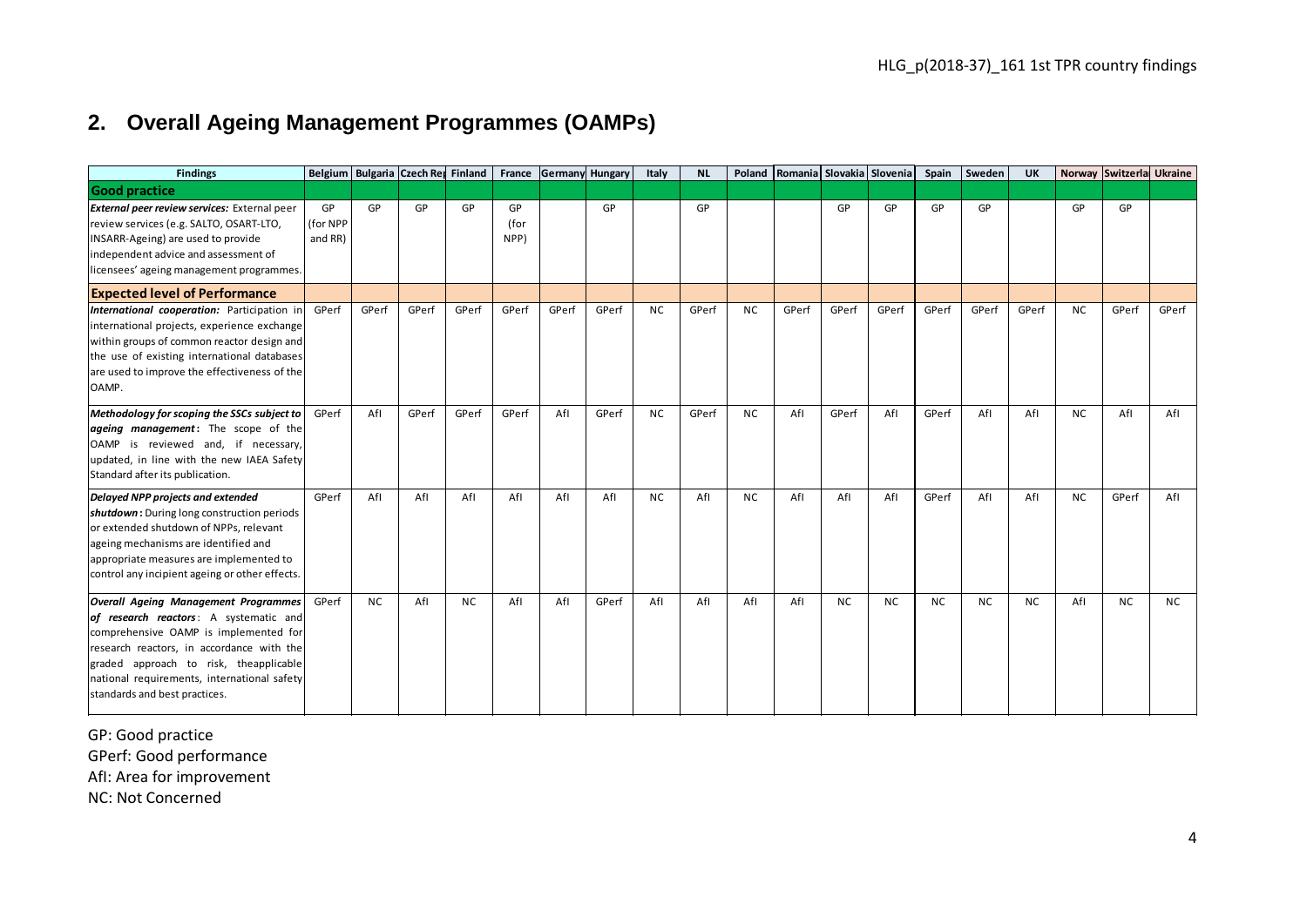# **2. Overall Ageing Management Programmes (OAMPs)**

|                                                                                                                                                                                                                                                                                                       |                           |           |       |                                   |                    |                 |       |           |           |           |                                  |           |           |           |           |           |           | HLG_p(2018-37)_161 1st TPR country findings |           |
|-------------------------------------------------------------------------------------------------------------------------------------------------------------------------------------------------------------------------------------------------------------------------------------------------------|---------------------------|-----------|-------|-----------------------------------|--------------------|-----------------|-------|-----------|-----------|-----------|----------------------------------|-----------|-----------|-----------|-----------|-----------|-----------|---------------------------------------------|-----------|
| <b>Overall Ageing Management Programmes (OAMPs)</b><br>2.                                                                                                                                                                                                                                             |                           |           |       |                                   |                    |                 |       |           |           |           |                                  |           |           |           |           |           |           |                                             |           |
| <b>Findings</b>                                                                                                                                                                                                                                                                                       |                           |           |       | Belgium Bulgaria Czech Re Finland | France             | Germany Hungary |       | Italy     | <b>NL</b> |           | Poland Romania Slovakia Slovenia |           |           | Spain     | Sweden    | UK        |           | Norway Switzerla Ukraine                    |           |
| <b>Good practice</b>                                                                                                                                                                                                                                                                                  |                           |           |       |                                   |                    |                 |       |           |           |           |                                  |           |           |           |           |           |           |                                             |           |
| External peer review services: External peer<br>review services (e.g. SALTO, OSART-LTO,<br>INSARR-Ageing) are used to provide<br>independent advice and assessment of<br>licensees' ageing management programmes.                                                                                     | GP<br>(for NPP<br>and RR) | GP        | GP    | GP                                | GP<br>(for<br>NPP) |                 | GP    |           | GP        |           |                                  | GP        | GP        | GP        | GP        |           | GP        | GP                                          |           |
| <b>Expected level of Performance</b>                                                                                                                                                                                                                                                                  |                           |           |       |                                   |                    |                 |       |           |           |           |                                  |           |           |           |           |           |           |                                             |           |
| International cooperation: Participation in<br>international projects, experience exchange<br>within groups of common reactor design and<br>the use of existing international databases<br>are used to improve the effectiveness of the<br>OAMP.                                                      | GPerf                     | GPerf     | GPerf | GPerf                             | GPerf              | GPerf           | GPerf | <b>NC</b> | GPerf     | <b>NC</b> | GPerf                            | GPerf     | GPerf     | GPerf     | GPerf     | GPerf     | <b>NC</b> | GPerf                                       | GPerf     |
| Methodology for scoping the SSCs subject to<br>ageing management: The scope of the<br>OAMP is reviewed and, if necessary,<br>updated, in line with the new IAEA Safety<br>Standard after its publication.                                                                                             | GPerf                     | Afl       | GPerf | GPerf                             | GPerf              | Afl             | GPerf | <b>NC</b> | GPerf     | <b>NC</b> | Afl                              | GPerf     | Afl       | GPerf     | Afl       | Afl       | <b>NC</b> | Afl                                         | Afl       |
| Delayed NPP projects and extended<br>shutdown: During long construction periods<br>or extended shutdown of NPPs, relevant<br>ageing mechanisms are identified and<br>appropriate measures are implemented to<br>control any incipient ageing or other effects.                                        | GPerf                     | Afl       | Afl   | Afl                               | Afl                | Afl             | Afl   | <b>NC</b> | Afl       | <b>NC</b> | Afl                              | Afl       | Afl       | GPerf     | Afl       | Afl       | <b>NC</b> | GPerf                                       | Afl       |
| <b>Overall Ageing Management Programmes</b><br>of research reactors: A systematic and<br>comprehensive OAMP is implemented for<br>research reactors, in accordance with the<br>graded approach to risk, theapplicable<br>national requirements, international safety<br>standards and best practices. | GPerf                     | <b>NC</b> | Afl   | <b>NC</b>                         | Afl                | Afl             | GPerf | Afl       | Afl       | Afl       | Afl                              | <b>NC</b> | <b>NC</b> | <b>NC</b> | <b>NC</b> | <b>NC</b> | Afl       | <b>NC</b>                                   | <b>NC</b> |

<span id="page-3-0"></span>GP: Good practice GPerf: Good performance AfI: Area for improvement NC: Not Concerned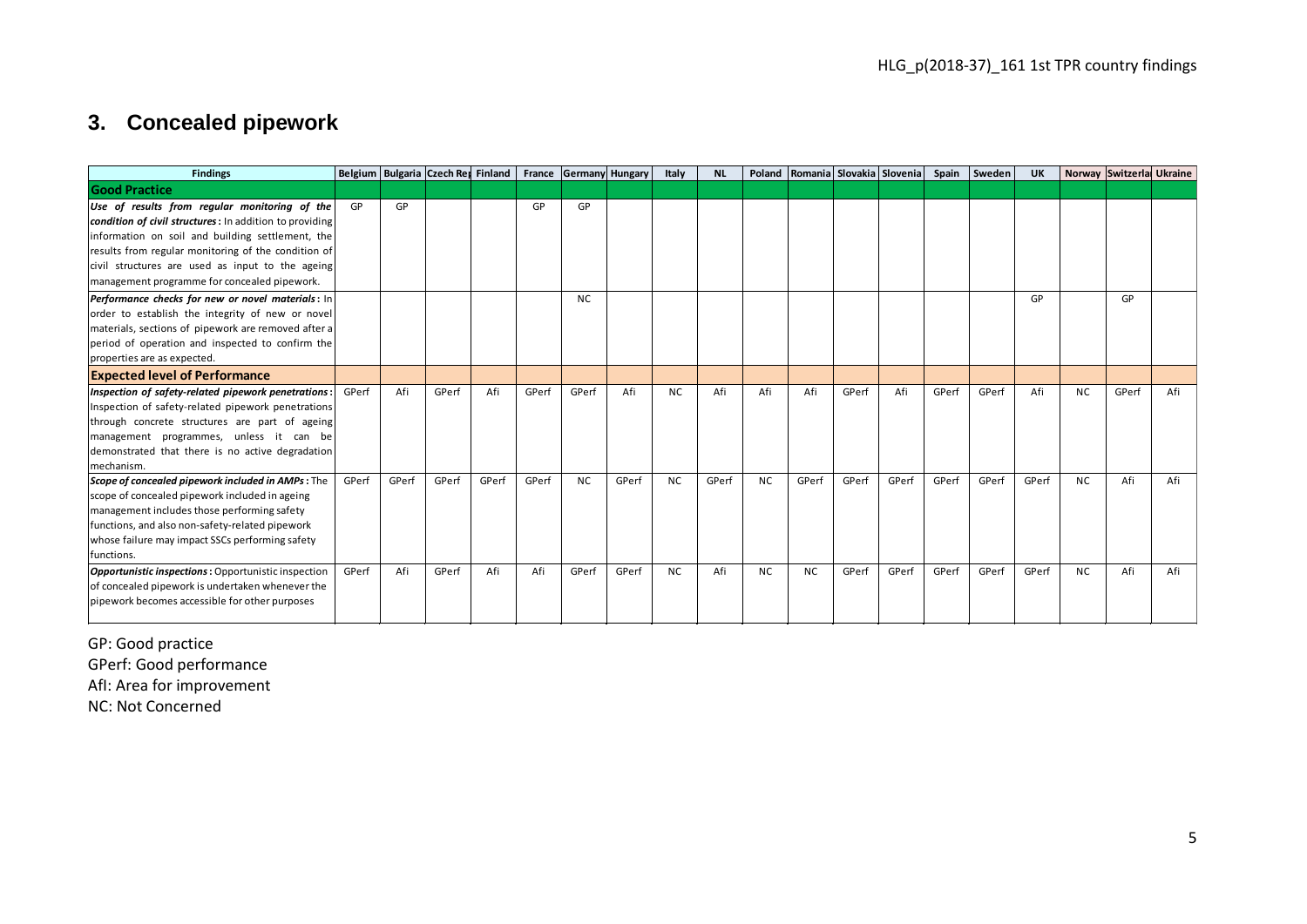## **3. Concealed pipework**

|            |                                                                                                                                                                                                                                                                                                                         | HLG_p(2018-37)_161 1st TPR country findings |                                    |       |       |       |           |                        |       |           |           |       |       |                                  |       |        |           |           |                          |     |
|------------|-------------------------------------------------------------------------------------------------------------------------------------------------------------------------------------------------------------------------------------------------------------------------------------------------------------------------|---------------------------------------------|------------------------------------|-------|-------|-------|-----------|------------------------|-------|-----------|-----------|-------|-------|----------------------------------|-------|--------|-----------|-----------|--------------------------|-----|
|            | 3. Concealed pipework                                                                                                                                                                                                                                                                                                   |                                             |                                    |       |       |       |           |                        |       |           |           |       |       |                                  |       |        |           |           |                          |     |
|            | <b>Findings</b>                                                                                                                                                                                                                                                                                                         |                                             | Belgium Bulgaria Czech Rey Finland |       |       |       |           | France Germany Hungary | Italy | <b>NL</b> |           |       |       | Poland Romania Slovakia Slovenia | Spain | Sweden | <b>UK</b> |           | Norway Switzerla Ukraine |     |
|            | <b>Good Practice</b>                                                                                                                                                                                                                                                                                                    |                                             |                                    |       |       |       |           |                        |       |           |           |       |       |                                  |       |        |           |           |                          |     |
|            | Use of results from regular monitoring of the<br>condition of civil structures: In addition to providing<br>information on soil and building settlement, the<br>results from regular monitoring of the condition of<br>civil structures are used as input to the ageing<br>management programme for concealed pipework. | GP                                          | GP                                 |       |       | GP    | GP        |                        |       |           |           |       |       |                                  |       |        |           |           |                          |     |
|            | Performance checks for new or novel materials: In<br>order to establish the integrity of new or novel<br>materials, sections of pipework are removed after a<br>period of operation and inspected to confirm the<br>properties are as expected.                                                                         |                                             |                                    |       |       |       | <b>NC</b> |                        |       |           |           |       |       |                                  |       |        | GP        |           | GP                       |     |
|            | <b>Expected level of Performance</b>                                                                                                                                                                                                                                                                                    |                                             |                                    |       |       |       |           |                        |       |           |           |       |       |                                  |       |        |           |           |                          |     |
| mechanism. | Inspection of safety-related pipework penetrations:<br>Inspection of safety-related pipework penetrations<br>through concrete structures are part of ageing<br>management programmes, unless it can be<br>demonstrated that there is no active degradation                                                              | GPerf                                       | Afi                                | GPerf | Afi   | GPerf | GPerf     | Afi                    | NC.   | Afi       | Afi       | Afi   | GPerf | Afi                              | GPerf | GPerf  | Afi       | <b>NC</b> | GPerf                    | Afi |
| functions. | Scope of concealed pipework included in AMPs: The<br>scope of concealed pipework included in ageing<br>management includes those performing safety<br>functions, and also non-safety-related pipework<br>whose failure may impact SSCs performing safety                                                                | GPerf                                       | GPerf                              | GPerf | GPerf | GPerf | <b>NC</b> | GPerf                  | NC.   | GPerf     | <b>NC</b> | GPerf | GPerf | GPerf                            | GPerf | GPerf  | GPerf     | NC.       | Afi                      | Afi |
|            | Opportunistic inspections: Opportunistic inspection<br>of concealed pipework is undertaken whenever the<br>pipework becomes accessible for other purposes                                                                                                                                                               | GPerf                                       | Afi                                | GPerf | Afi   | Afi   | GPerf     | GPerf                  | NC.   | Afi       | NC.       | NC.   | GPerf | GPerf                            | GPerf | GPerf  | GPerf     | NC.       | Afi                      | Afi |

<span id="page-4-0"></span>GP: Good practice GPerf: Good performance AfI: Area for improvement NC: Not Concerned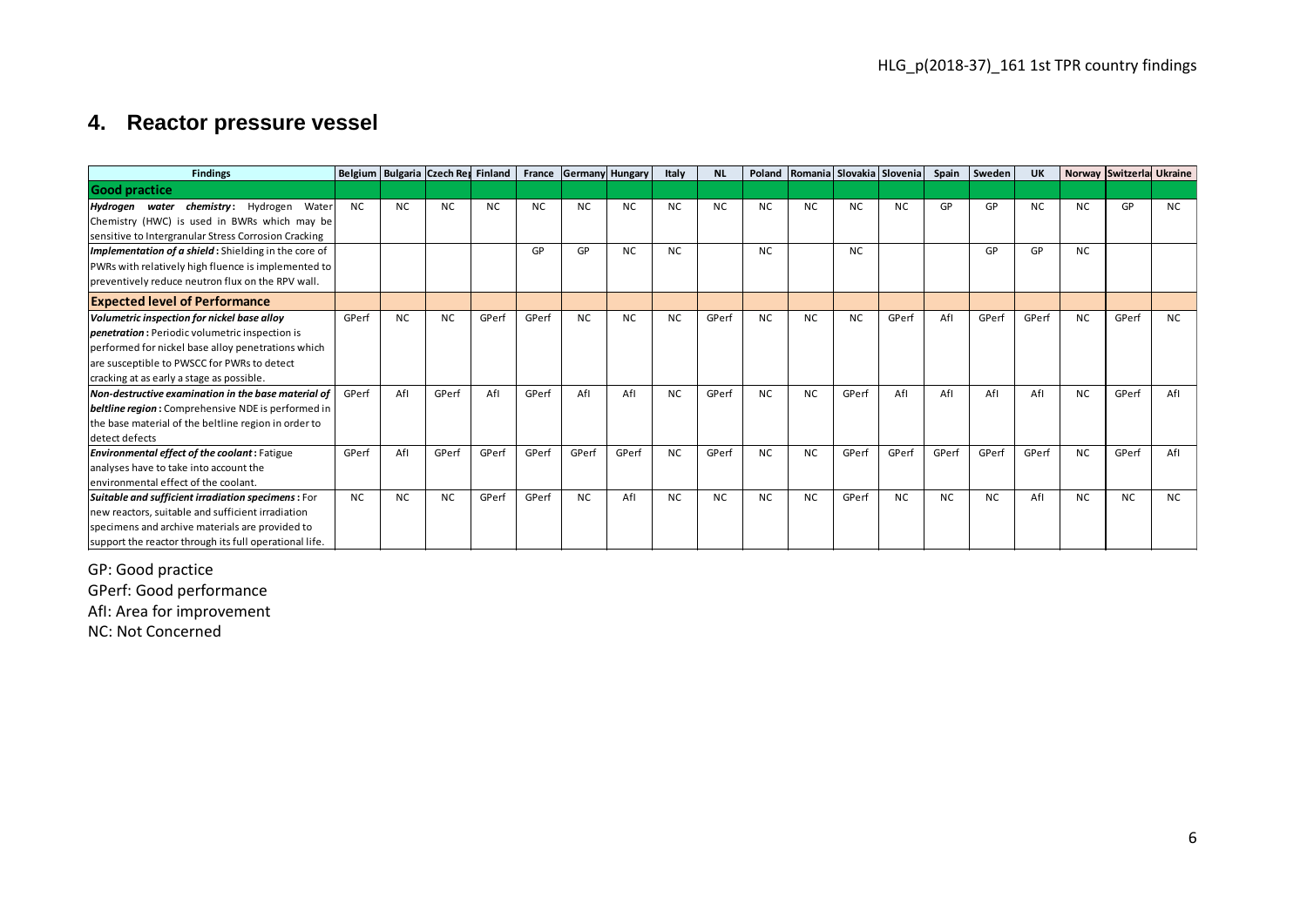### **4. Reactor pressure vessel**

|                                                                                                                                                                                                                                                 |           |           |                                    |           |           |                        |           |           |           |           |           | HLG_p(2018-37)_161 1st TPR country findings |                                  |           |           |           |                |                          |           |  |
|-------------------------------------------------------------------------------------------------------------------------------------------------------------------------------------------------------------------------------------------------|-----------|-----------|------------------------------------|-----------|-----------|------------------------|-----------|-----------|-----------|-----------|-----------|---------------------------------------------|----------------------------------|-----------|-----------|-----------|----------------|--------------------------|-----------|--|
| 4. Reactor pressure vessel                                                                                                                                                                                                                      |           |           |                                    |           |           |                        |           |           |           |           |           |                                             |                                  |           |           |           |                |                          |           |  |
| <b>Findings</b>                                                                                                                                                                                                                                 |           |           | Belgium Bulgaria Czech Rey Finland |           |           | France Germany Hungary |           | Italy     | <b>NL</b> |           |           |                                             | Poland Romania Slovakia Slovenia | Spain     | Sweden    | <b>UK</b> |                | Norway Switzerla Ukraine |           |  |
| <b>Good practice</b>                                                                                                                                                                                                                            |           |           |                                    |           |           |                        |           |           |           |           |           |                                             |                                  |           |           |           |                |                          |           |  |
| Hydrogen water chemistry: Hydrogen<br>Water<br>Chemistry (HWC) is used in BWRs which may be<br>sensitive to Intergranular Stress Corrosion Cracking                                                                                             | <b>NC</b> | <b>NC</b> | NC.                                | <b>NC</b> | <b>NC</b> | <b>NC</b>              | <b>NC</b> | <b>NC</b> | <b>NC</b> | <b>NC</b> | <b>NC</b> | <b>NC</b>                                   | <b>NC</b>                        | GP        | GP        | <b>NC</b> | <b>NC</b>      | GP                       | <b>NC</b> |  |
| Implementation of a shield: Shielding in the core of<br>PWRs with relatively high fluence is implemented to<br>preventively reduce neutron flux on the RPV wall.                                                                                |           |           |                                    |           | GP        | GP                     | <b>NC</b> | <b>NC</b> |           | <b>NC</b> |           | <b>NC</b>                                   |                                  |           | GP        | GP        | NC.            |                          |           |  |
| <b>Expected level of Performance</b>                                                                                                                                                                                                            |           |           |                                    |           |           |                        |           |           |           |           |           |                                             |                                  |           |           |           |                |                          |           |  |
| Volumetric inspection for nickel base alloy<br>penetration: Periodic volumetric inspection is<br>performed for nickel base alloy penetrations which<br>are susceptible to PWSCC for PWRs to detect<br>cracking at as early a stage as possible. | GPerf     | <b>NC</b> | <b>NC</b>                          | GPerf     | GPerf     | <b>NC</b>              | <b>NC</b> | <b>NC</b> | GPerf     | <b>NC</b> | <b>NC</b> | <b>NC</b>                                   | GPerf                            | Afl       | GPerf     | GPerf     | <b>NC</b>      | GPerf                    | <b>NC</b> |  |
| Non-destructive examination in the base material of<br>beltline region: Comprehensive NDE is performed in<br>the base material of the beltline region in order to<br>detect defects                                                             | GPerf     | Afl       | GPerf                              | Afl       | GPerf     | Afl                    | Afl       | <b>NC</b> | GPerf     | <b>NC</b> | <b>NC</b> | GPerf                                       | Afl                              | Afl       | Afl       | Afl       | <b>NC</b>      | GPerf                    | Afl       |  |
| Environmental effect of the coolant: Fatigue<br>analyses have to take into account the<br>environmental effect of the coolant.                                                                                                                  | GPerf     | Afl       | GPerf                              | GPerf     | GPerf     | GPerf                  | GPerf     | <b>NC</b> | GPerf     | <b>NC</b> | <b>NC</b> | GPerf                                       | GPerf                            | GPerf     | GPerf     | GPerf     | <b>NC</b>      | GPerf                    | Afl       |  |
| Suitable and sufficient irradiation specimens: For<br>new reactors, suitable and sufficient irradiation<br>specimens and archive materials are provided to<br>support the reactor through its full operational life.                            | <b>NC</b> | <b>NC</b> | <b>NC</b>                          | GPerf     | GPerf     | NC.                    | Afl       | <b>NC</b> | <b>NC</b> | <b>NC</b> | <b>NC</b> | GPerf                                       | <b>NC</b>                        | <b>NC</b> | <b>NC</b> | Afl       | N <sub>C</sub> | <b>NC</b>                | <b>NC</b> |  |

<span id="page-5-0"></span>GP: Good practice GPerf: Good performance AfI: Area for improvement

NC: Not Concerned